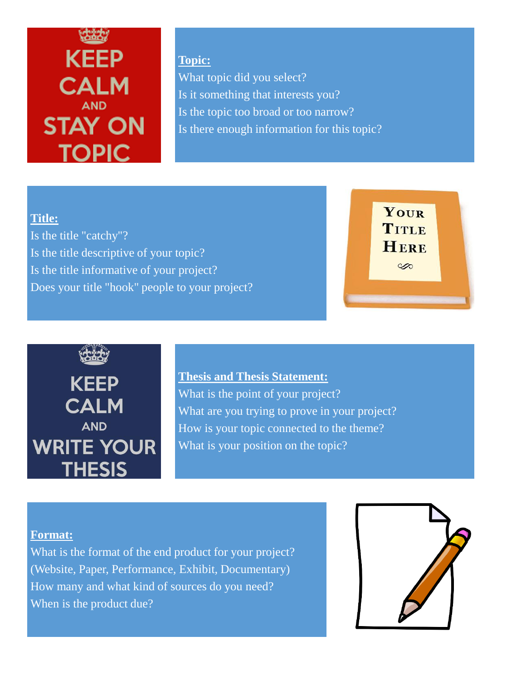# **KEEP CALM AND STAY ON TOPIC**

**Topic:** What topic did you select? Is it something that interests you? Is the topic too broad or too narrow? Is there enough information for this topic?

#### **Title:**

Is the title "catchy"? Is the title descriptive of your topic? Is the title informative of your project? Does your title "hook" people to your project?





### **Thesis and Thesis Statement:**

What is the point of your project? What are you trying to prove in your project? How is your topic connected to the theme? What is your position on the topic?

#### **Format:**

What is the format of the end product for your project? (Website, Paper, Performance, Exhibit, Documentary) How many and what kind of sources do you need? When is the product due?

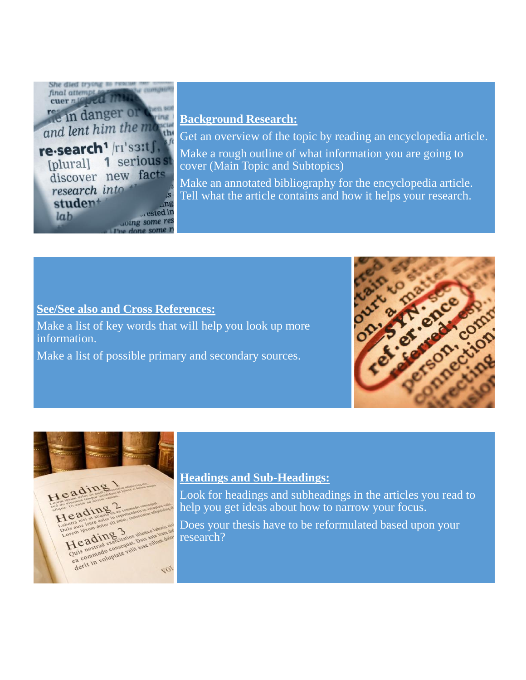

#### **Background Research:**

Get an overview of the topic by reading an encyclopedia article.

Make a rough outline of what information you are going to cover (Main Topic and Subtopics)

Make an annotated bibliography for the encyclopedia article. Tell what the article contains and how it helps your research.

#### **See/See also and Cross References:**

Make a list of key words that will help you look up more information.

Make a list of possible primary and secondary sources.





#### **Headings and Sub-Headings:**

Look for headings and subheadings in the articles you read to help you get ideas about how to narrow your focus.

Does your thesis have to be reformulated based upon your research?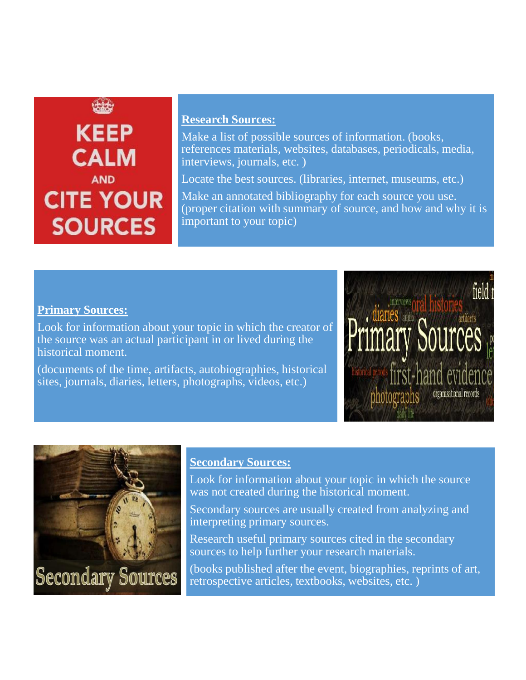## **KEEP CALM AND CITE YOUR SOURCES**

#### **Research Sources:**

Make a list of possible sources of information. (books, references materials, websites, databases, periodicals, media, interviews, journals, etc. )

Locate the best sources. (libraries, internet, museums, etc.)

Make an annotated bibliography for each source you use. (proper citation with summary of source, and how and why it is important to your topic)

#### **Primary Sources:**

Look for information about your topic in which the creator of the source was an actual participant in or lived during the historical moment.

(documents of the time, artifacts, autobiographies, historical sites, journals, diaries, letters, photographs, videos, etc.)





#### **Secondary Sources:**

Look for information about your topic in which the source was not created during the historical moment.

Secondary sources are usually created from analyzing and interpreting primary sources.

Research useful primary sources cited in the secondary sources to help further your research materials.

(books published after the event, biographies, reprints of art, retrospective articles, textbooks, websites, etc. )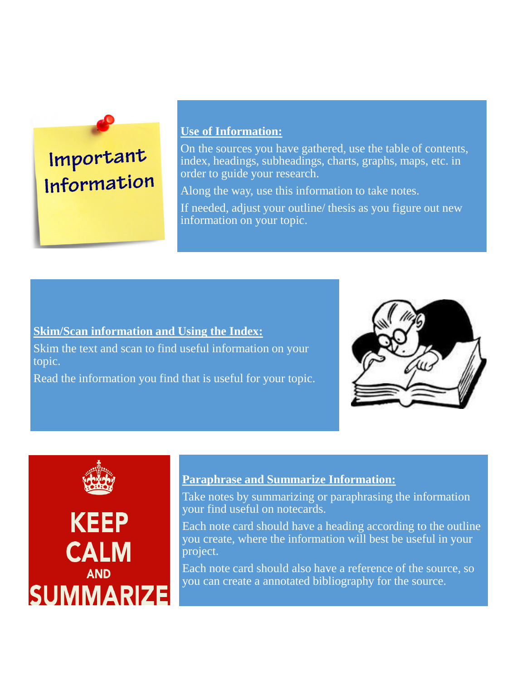### Important Information

#### **Use of Information:**

On the sources you have gathered, use the table of contents, index, headings, subheadings, charts, graphs, maps, etc. in order to guide your research.

Along the way, use this information to take notes.

If needed, adjust your outline/ thesis as you figure out new information on your topic.

#### **Skim/Scan information and Using the Index:**

Skim the text and scan to find useful information on your topic.

Read the information you find that is useful for your topic.





**AND** 

**SUMMARIZE** 

#### **Paraphrase and Summarize Information:**

Take notes by summarizing or paraphrasing the information your find useful on notecards.

Each note card should have a heading according to the outline you create, where the information will best be useful in your project.

Each note card should also have a reference of the source, so you can create a annotated bibliography for the source.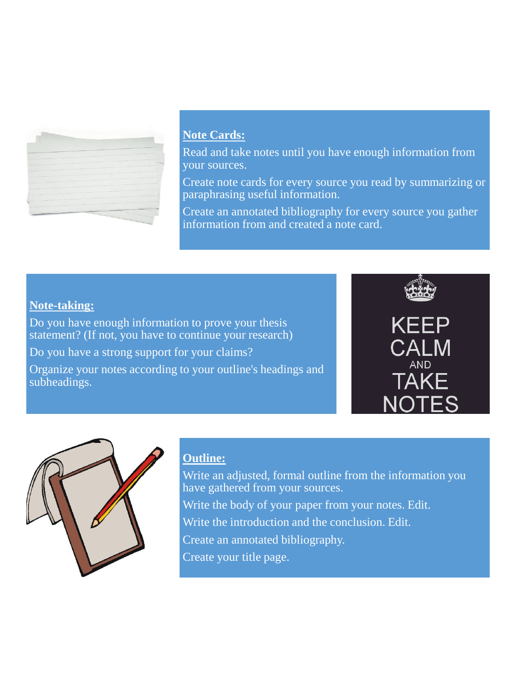

#### **Note Cards:**

Read and take notes until you have enough information from your sources.

Create note cards for every source you read by summarizing or paraphrasing useful information.

Create an annotated bibliography for every source you gather information from and created a note card.

#### **Note-taking:**

Do you have enough information to prove your thesis statement? (If not, you have to continue your research) Do you have a strong support for your claims? Organize your notes according to your outline's headings and subheadings.





#### **Outline:**

Write an adjusted, formal outline from the information you have gathered from your sources. Write the body of your paper from your notes. Edit. Write the introduction and the conclusion. Edit. Create an annotated bibliography. Create your title page.